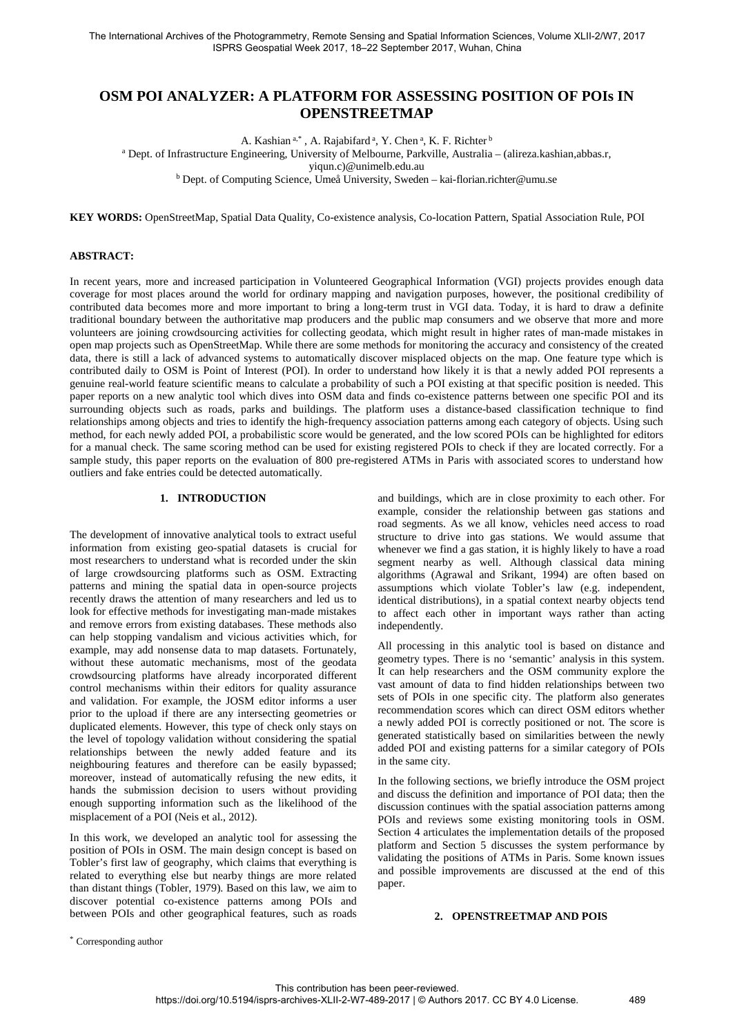# **OSM POI ANALYZER: A PLATFORM FOR ASSESSING POSITION OF POIs IN OPENSTREETMAP**

A. Kashian <sup>a,\*</sup>, A. Rajabifard <sup>a</sup>, Y. Chen <sup>a</sup>, K. F. Richter <sup>b</sup>

<sup>a</sup> Dept. of Infrastructure Engineering, University of Melbourne, Parkville, Australia – (alireza.kashian,abbas.r,

yiqun.c)@unimelb.edu.au

<sup>b</sup> Dept. of Computing Science, Umeå University, Sweden – kai-florian.richter@umu.se

**KEY WORDS:** OpenStreetMap, Spatial Data Quality, Co-existence analysis, Co-location Pattern, Spatial Association Rule, POI

#### **ABSTRACT:**

In recent years, more and increased participation in Volunteered Geographical Information (VGI) projects provides enough data coverage for most places around the world for ordinary mapping and navigation purposes, however, the positional credibility of contributed data becomes more and more important to bring a long-term trust in VGI data. Today, it is hard to draw a definite traditional boundary between the authoritative map producers and the public map consumers and we observe that more and more volunteers are joining crowdsourcing activities for collecting geodata, which might result in higher rates of man-made mistakes in open map projects such as OpenStreetMap. While there are some methods for monitoring the accuracy and consistency of the created data, there is still a lack of advanced systems to automatically discover misplaced objects on the map. One feature type which is contributed daily to OSM is Point of Interest (POI). In order to understand how likely it is that a newly added POI represents a genuine real-world feature scientific means to calculate a probability of such a POI existing at that specific position is needed. This paper reports on a new analytic tool which dives into OSM data and finds co-existence patterns between one specific POI and its surrounding objects such as roads, parks and buildings. The platform uses a distance-based classification technique to find relationships among objects and tries to identify the high-frequency association patterns among each category of objects. Using such method, for each newly added POI, a probabilistic score would be generated, and the low scored POIs can be highlighted for editors for a manual check. The same scoring method can be used for existing registered POIs to check if they are located correctly. For a sample study, this paper reports on the evaluation of 800 pre-registered ATMs in Paris with associated scores to understand how outliers and fake entries could be detected automatically.

# **1. INTRODUCTION**

The development of innovative analytical tools to extract useful information from existing geo-spatial datasets is crucial for most researchers to understand what is recorded under the skin of large crowdsourcing platforms such as OSM. Extracting patterns and mining the spatial data in open-source projects recently draws the attention of many researchers and led us to look for effective methods for investigating man-made mistakes and remove errors from existing databases. These methods also can help stopping vandalism and vicious activities which, for example, may add nonsense data to map datasets. Fortunately, without these automatic mechanisms, most of the geodata crowdsourcing platforms have already incorporated different control mechanisms within their editors for quality assurance and validation. For example, the JOSM editor informs a user prior to the upload if there are any intersecting geometries or duplicated elements. However, this type of check only stays on the level of topology validation without considering the spatial relationships between the newly added feature and its neighbouring features and therefore can be easily bypassed; moreover, instead of automatically refusing the new edits, it hands the submission decision to users without providing enough supporting information such as the likelihood of the misplacement of a POI (Neis et al., 2012). [1](#page-0-0)

In this work, we developed an analytic tool for assessing the position of POIs in OSM. The main design concept is based on Tobler's first law of geography, which claims that everything is related to everything else but nearby things are more related than distant things (Tobler, 1979). Based on this law, we aim to discover potential co-existence patterns among POIs and between POIs and other geographical features, such as roads

and buildings, which are in close proximity to each other. For example, consider the relationship between gas stations and road segments. As we all know, vehicles need access to road structure to drive into gas stations. We would assume that whenever we find a gas station, it is highly likely to have a road segment nearby as well. Although classical data mining algorithms (Agrawal and Srikant, 1994) are often based on assumptions which violate Tobler's law (e.g. independent, identical distributions), in a spatial context nearby objects tend to affect each other in important ways rather than acting independently.

All processing in this analytic tool is based on distance and geometry types. There is no 'semantic' analysis in this system. It can help researchers and the OSM community explore the vast amount of data to find hidden relationships between two sets of POIs in one specific city. The platform also generates recommendation scores which can direct OSM editors whether a newly added POI is correctly positioned or not. The score is generated statistically based on similarities between the newly added POI and existing patterns for a similar category of POIs in the same city.

In the following sections, we briefly introduce the OSM project and discuss the definition and importance of POI data; then the discussion continues with the spatial association patterns among POIs and reviews some existing monitoring tools in OSM. Section 4 articulates the implementation details of the proposed platform and Section 5 discusses the system performance by validating the positions of ATMs in Paris. Some known issues and possible improvements are discussed at the end of this paper.

# **2. OPENSTREETMAP AND POIS**

<span id="page-0-0"></span>\* Corresponding author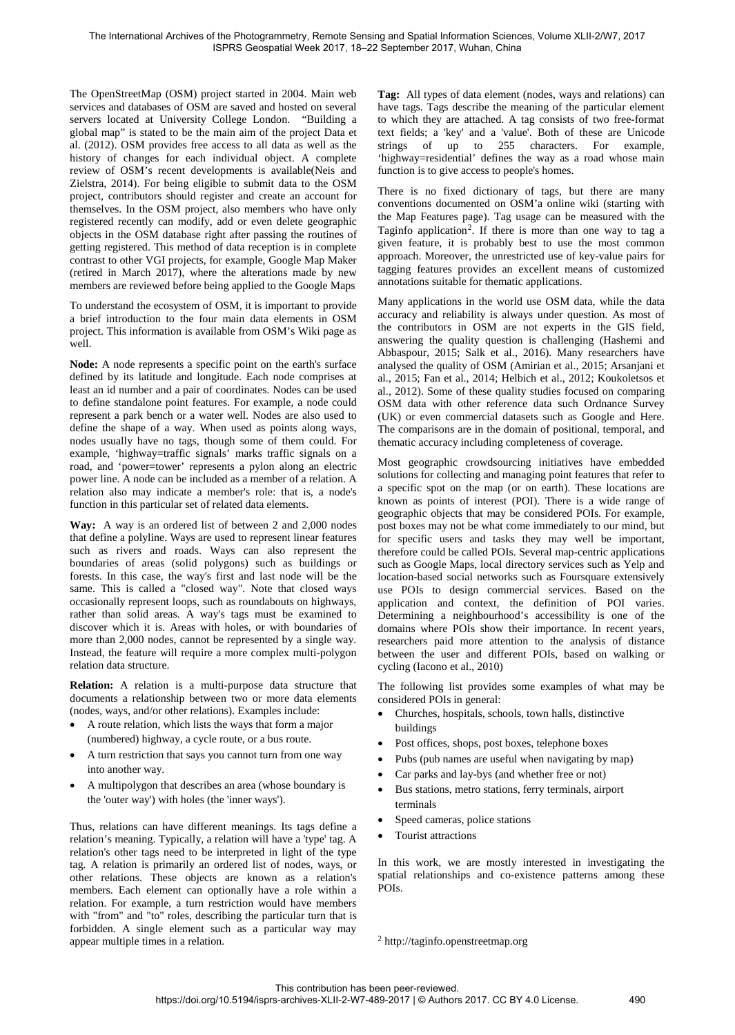The OpenStreetMap (OSM) project started in 2004. Main web services and databases of OSM are saved and hosted on several servers located at University College London. "Building a global map" is stated to be the main aim of the project Data et al. (2012). OSM provides free access to all data as well as the history of changes for each individual object. A complete review of OSM's recent developments is available(Neis and Zielstra, 2014). For being eligible to submit data to the OSM project, contributors should register and create an account for themselves. In the OSM project, also members who have only registered recently can modify, add or even delete geographic objects in the OSM database right after passing the routines of getting registered. This method of data reception is in complete contrast to other VGI projects, for example, Google Map Maker (retired in March 2017), where the alterations made by new members are reviewed before being applied to the Google Maps

To understand the ecosystem of OSM, it is important to provide a brief introduction to the four main data elements in OSM project. This information is available from OSM's Wiki page as well.

**Node:** A node represents a specific point on the earth's surface defined by its latitude and longitude. Each node comprises at least an id number and a pair of coordinates. Nodes can be used to define standalone point features. For example, a node could represent a park bench or a water well. Nodes are also used to define the shape of a way. When used as points along ways, nodes usually have no tags, though some of them could. For example, 'highway=traffic signals' marks traffic signals on a road, and 'power=tower' represents a pylon along an electric power line. A node can be included as a member of a relation. A relation also may indicate a member's role: that is, a node's function in this particular set of related data elements.

**Way:** A way is an ordered list of between 2 and 2,000 nodes that define a polyline. Ways are used to represent linear features such as rivers and roads. Ways can also represent the boundaries of areas (solid polygons) such as buildings or forests. In this case, the way's first and last node will be the same. This is called a "closed way". Note that closed ways occasionally represent loops, such as roundabouts on highways, rather than solid areas. A way's tags must be examined to discover which it is. Areas with holes, or with boundaries of more than 2,000 nodes, cannot be represented by a single way. Instead, the feature will require a more complex multi-polygon relation data structure.

**Relation:** A relation is a multi-purpose data structure that documents a relationship between two or more data elements (nodes, ways, and/or other relations). Examples include:

- A route relation, which lists the ways that form a major (numbered) highway, a cycle route, or a bus route.
- A turn restriction that says you cannot turn from one way into another way.
- A multipolygon that describes an area (whose boundary is the 'outer way') with holes (the 'inner ways').

<span id="page-1-0"></span>Thus, relations can have different meanings. Its tags define a relation's meaning. Typically, a relation will have a 'type' tag. A relation's other tags need to be interpreted in light of the type tag. A relation is primarily an ordered list of nodes, ways, or other relations. These objects are known as a relation's members. Each element can optionally have a role within a relation. For example, a turn restriction would have members with "from" and "to" roles, describing the particular turn that is forbidden. A single element such as a particular way may appear multiple times in a relation.

**Tag:** All types of data element (nodes, ways and relations) can have tags. Tags describe the meaning of the particular element to which they are attached. A tag consists of two free-format text fields; a 'key' and a 'value'. Both of these are Unicode strings of up to 255 characters. For example, 'highway=residential' defines the way as a road whose main function is to give access to people's homes.

There is no fixed dictionary of tags, but there are many conventions documented on OSM'a online wiki (starting with the Map Features page). Tag usage can be measured with the Taginfo application<sup>[2](#page-1-0)</sup>. If there is more than one way to tag a given feature, it is probably best to use the most common approach. Moreover, the unrestricted use of key-value pairs for tagging features provides an excellent means of customized annotations suitable for thematic applications.

Many applications in the world use OSM data, while the data accuracy and reliability is always under question. As most of the contributors in OSM are not experts in the GIS field, answering the quality question is challenging (Hashemi and Abbaspour, 2015; Salk et al., 2016). Many researchers have analysed the quality of OSM (Amirian et al., 2015; Arsanjani et al., 2015; Fan et al., 2014; Helbich et al., 2012; Koukoletsos et al., 2012). Some of these quality studies focused on comparing OSM data with other reference data such Ordnance Survey (UK) or even commercial datasets such as Google and Here. The comparisons are in the domain of positional, temporal, and thematic accuracy including completeness of coverage.

Most geographic crowdsourcing initiatives have embedded solutions for collecting and managing point features that refer to a specific spot on the map (or on earth). These locations are known as points of interest (POI). There is a wide range of geographic objects that may be considered POIs. For example, post boxes may not be what come immediately to our mind, but for specific users and tasks they may well be important, therefore could be called POIs. Several map-centric applications such as Google Maps, local directory services such as Yelp and location-based social networks such as Foursquare extensively use POIs to design commercial services. Based on the application and context, the definition of POI varies. Determining a neighbourhood's accessibility is one of the domains where POIs show their importance. In recent years, researchers paid more attention to the analysis of distance between the user and different POIs, based on walking or cycling (Iacono et al., 2010)

The following list provides some examples of what may be considered POIs in general:

- Churches, hospitals, schools, town halls, distinctive buildings
- Post offices, shops, post boxes, telephone boxes
- Pubs (pub names are useful when navigating by map)
- Car parks and lay-bys (and whether free or not)
- Bus stations, metro stations, ferry terminals, airport terminals
- Speed cameras, police stations
- Tourist attractions

In this work, we are mostly interested in investigating the spatial relationships and co-existence patterns among these POIs.

<sup>2</sup> http://taginfo.openstreetmap.org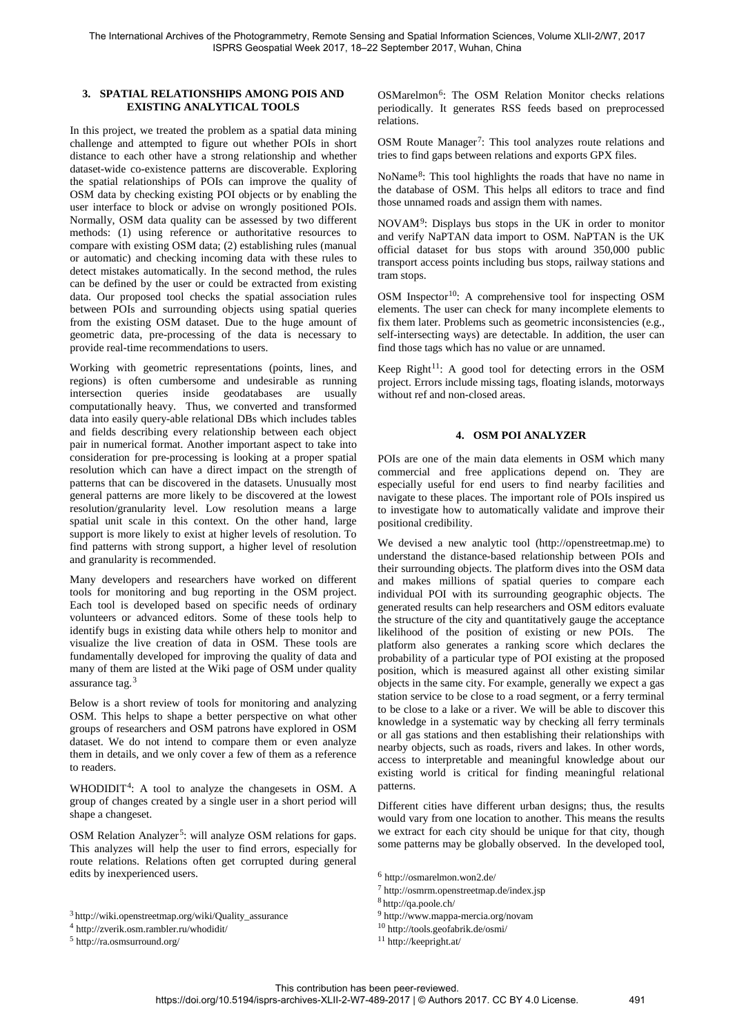### **3. SPATIAL RELATIONSHIPS AMONG POIS AND EXISTING ANALYTICAL TOOLS**

In this project, we treated the problem as a spatial data mining challenge and attempted to figure out whether POIs in short distance to each other have a strong relationship and whether dataset-wide co-existence patterns are discoverable. Exploring the spatial relationships of POIs can improve the quality of OSM data by checking existing POI objects or by enabling the user interface to block or advise on wrongly positioned POIs. Normally, OSM data quality can be assessed by two different methods: (1) using reference or authoritative resources to compare with existing OSM data; (2) establishing rules (manual or automatic) and checking incoming data with these rules to detect mistakes automatically. In the second method, the rules can be defined by the user or could be extracted from existing data. Our proposed tool checks the spatial association rules between POIs and surrounding objects using spatial queries from the existing OSM dataset. Due to the huge amount of geometric data, pre-processing of the data is necessary to provide real-time recommendations to users.

Working with geometric representations (points, lines, and regions) is often cumbersome and undesirable as running<br>intersection queries inside geodatabases are usually queries inside geodatabases are usually computationally heavy. Thus, we converted and transformed data into easily query-able relational DBs which includes tables and fields describing every relationship between each object pair in numerical format. Another important aspect to take into consideration for pre-processing is looking at a proper spatial resolution which can have a direct impact on the strength of patterns that can be discovered in the datasets. Unusually most general patterns are more likely to be discovered at the lowest resolution/granularity level. Low resolution means a large spatial unit scale in this context. On the other hand, large support is more likely to exist at higher levels of resolution. To find patterns with strong support, a higher level of resolution and granularity is recommended.

Many developers and researchers have worked on different tools for monitoring and bug reporting in the OSM project. Each tool is developed based on specific needs of ordinary volunteers or advanced editors. Some of these tools help to identify bugs in existing data while others help to monitor and visualize the live creation of data in OSM. These tools are fundamentally developed for improving the quality of data and many of them are listed at the Wiki page of OSM under quality assurance tag.[3](#page-2-0)

Below is a short review of tools for monitoring and analyzing OSM. This helps to shape a better perspective on what other groups of researchers and OSM patrons have explored in OSM dataset. We do not intend to compare them or even analyze them in details, and we only cover a few of them as a reference to readers.

WHODIDIT<sup>[4](#page-2-1)</sup>: A tool to analyze the changesets in OSM. A group of changes created by a single user in a short period will shape a changeset.

OSM Relation Analyzer<sup>5</sup>: will analyze OSM relations for gaps. This analyzes will help the user to find errors, especially for route relations. Relations often get corrupted during general edits by inexperienced users.

OSMarelmon<sup>[6](#page-2-3)</sup>: The OSM Relation Monitor checks relations periodically. It generates RSS feeds based on preprocessed relations.

OSM Route Manager<sup>[7](#page-2-4)</sup>: This tool analyzes route relations and tries to find gaps between relations and exports GPX files.

NoName[8](#page-2-5): This tool highlights the roads that have no name in the database of OSM. This helps all editors to trace and find those unnamed roads and assign them with names.

NOVAM[9](#page-2-0): Displays bus stops in the UK in order to monitor and verify NaPTAN data import to OSM. NaPTAN is the UK official dataset for bus stops with around 350,000 public transport access points including bus stops, railway stations and tram stops.

OSM Inspector<sup>[10](#page-2-1)</sup>: A comprehensive tool for inspecting OSM elements. The user can check for many incomplete elements to fix them later. Problems such as geometric inconsistencies (e.g., self-intersecting ways) are detectable. In addition, the user can find those tags which has no value or are unnamed.

Keep Right<sup>11</sup>: A good tool for detecting errors in the OSM project. Errors include missing tags, floating islands, motorways without ref and non-closed areas.

#### **4. OSM POI ANALYZER**

POIs are one of the main data elements in OSM which many commercial and free applications depend on. They are especially useful for end users to find nearby facilities and navigate to these places. The important role of POIs inspired us to investigate how to automatically validate and improve their positional credibility.

We devised a new analytic tool (http://openstreetmap.me) to understand the distance-based relationship between POIs and their surrounding objects. The platform dives into the OSM data and makes millions of spatial queries to compare each individual POI with its surrounding geographic objects. The generated results can help researchers and OSM editors evaluate the structure of the city and quantitatively gauge the acceptance likelihood of the position of existing or new POIs. The platform also generates a ranking score which declares the probability of a particular type of POI existing at the proposed position, which is measured against all other existing similar objects in the same city. For example, generally we expect a gas station service to be close to a road segment, or a ferry terminal to be close to a lake or a river. We will be able to discover this knowledge in a systematic way by checking all ferry terminals or all gas stations and then establishing their relationships with nearby objects, such as roads, rivers and lakes. In other words, access to interpretable and meaningful knowledge about our existing world is critical for finding meaningful relational patterns.

Different cities have different urban designs; thus, the results would vary from one location to another. This means the results we extract for each city should be unique for that city, though some patterns may be globally observed. In the developed tool,

<sup>7</sup> http://osmrm.openstreetmap.de/index.jsp

<sup>9</sup> http://www.mappa-mercia.org/novam

<sup>11</sup> http://keepright.at/

<span id="page-2-5"></span><span id="page-2-4"></span><span id="page-2-3"></span><sup>3</sup> http://wiki.openstreetmap.org/wiki/Quality\_assurance

<span id="page-2-1"></span><span id="page-2-0"></span><sup>4</sup> http://zverik.osm.rambler.ru/whodidit/

<span id="page-2-2"></span><sup>5</sup> http://ra.osmsurround.org/

<sup>6</sup> http://osmarelmon.won2.de/

<sup>8</sup> http://qa.poole.ch/

<sup>10</sup> http://tools.geofabrik.de/osmi/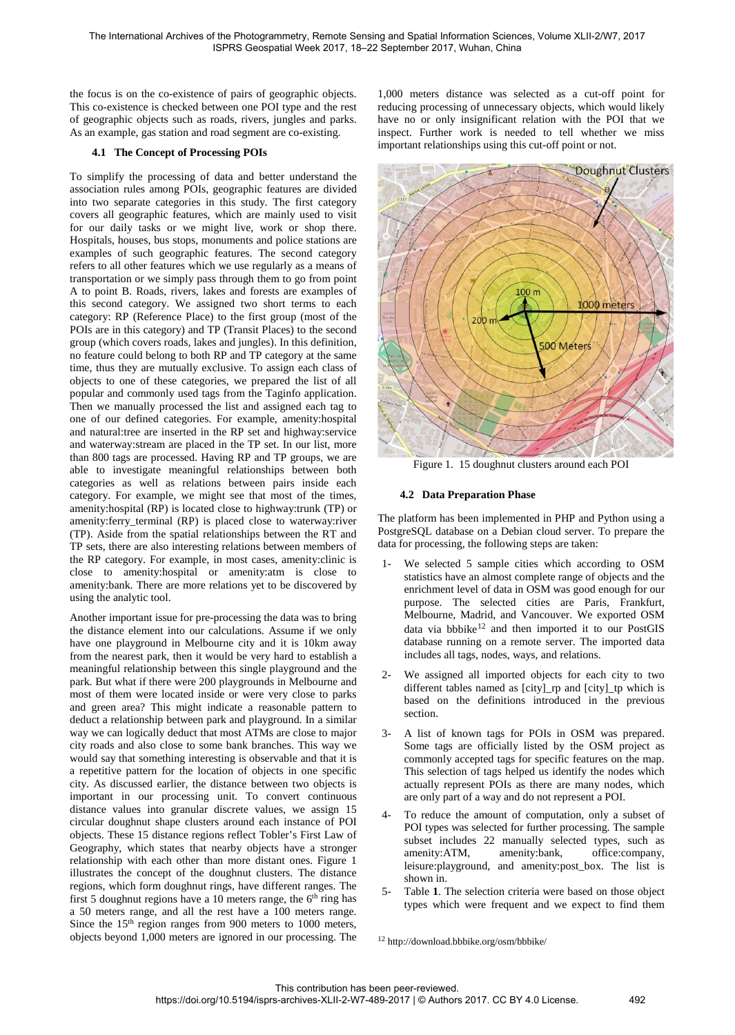the focus is on the co-existence of pairs of geographic objects. This co-existence is checked between one POI type and the rest of geographic objects such as roads, rivers, jungles and parks. As an example, gas station and road segment are co-existing.

# **4.1 The Concept of Processing POIs**

To simplify the processing of data and better understand the association rules among POIs, geographic features are divided into two separate categories in this study. The first category covers all geographic features, which are mainly used to visit for our daily tasks or we might live, work or shop there. Hospitals, houses, bus stops, monuments and police stations are examples of such geographic features. The second category refers to all other features which we use regularly as a means of transportation or we simply pass through them to go from point A to point B. Roads, rivers, lakes and forests are examples of this second category. We assigned two short terms to each category: RP (Reference Place) to the first group (most of the POIs are in this category) and TP (Transit Places) to the second group (which covers roads, lakes and jungles). In this definition, no feature could belong to both RP and TP category at the same time, thus they are mutually exclusive. To assign each class of objects to one of these categories, we prepared the list of all popular and commonly used tags from the Taginfo application. Then we manually processed the list and assigned each tag to one of our defined categories. For example, amenity:hospital and natural:tree are inserted in the RP set and highway:service and waterway:stream are placed in the TP set. In our list, more than 800 tags are processed. Having RP and TP groups, we are able to investigate meaningful relationships between both categories as well as relations between pairs inside each category. For example, we might see that most of the times, amenity:hospital (RP) is located close to highway:trunk (TP) or amenity:ferry\_terminal (RP) is placed close to waterway:river (TP). Aside from the spatial relationships between the RT and TP sets, there are also interesting relations between members of the RP category. For example, in most cases, amenity:clinic is close to amenity:hospital or amenity:atm is close to amenity:bank. There are more relations yet to be discovered by using the analytic tool.

<span id="page-3-1"></span>Another important issue for pre-processing the data was to bring the distance element into our calculations. Assume if we only have one playground in Melbourne city and it is 10km away from the nearest park, then it would be very hard to establish a meaningful relationship between this single playground and the park. But what if there were 200 playgrounds in Melbourne and most of them were located inside or were very close to parks and green area? This might indicate a reasonable pattern to deduct a relationship between park and playground. In a similar way we can logically deduct that most ATMs are close to major city roads and also close to some bank branches. This way we would say that something interesting is observable and that it is a repetitive pattern for the location of objects in one specific city. As discussed earlier, the distance between two objects is important in our processing unit. To convert continuous distance values into granular discrete values, we assign 15 circular doughnut shape clusters around each instance of POI objects. These 15 distance regions reflect Tobler's First Law of Geography, which states that nearby objects have a stronger relationship with each other than more distant ones. [Figure 1](#page-3-0) illustrates the concept of the doughnut clusters. The distance regions, which form doughnut rings, have different ranges. The first 5 doughnut regions have a 10 meters range, the  $6<sup>th</sup>$  ring has a 50 meters range, and all the rest have a 100 meters range. Since the 15<sup>th</sup> region ranges from 900 meters to 1000 meters, objects beyond 1,000 meters are ignored in our processing. The

1,000 meters distance was selected as a cut-off point for reducing processing of unnecessary objects, which would likely have no or only insignificant relation with the POI that we inspect. Further work is needed to tell whether we miss important relationships using this cut-off point or not.



<span id="page-3-0"></span>Figure 1. 15 doughnut clusters around each POI

# **4.2 Data Preparation Phase**

The platform has been implemented in PHP and Python using a PostgreSQL database on a Debian cloud server. To prepare the data for processing, the following steps are taken:

- We selected 5 sample cities which according to OSM statistics have an almost complete range of objects and the enrichment level of data in OSM was good enough for our purpose. The selected cities are Paris, Frankfurt, Melbourne, Madrid, and Vancouver. We exported OSM data via bbbike<sup>[12](#page-3-1)</sup> and then imported it to our PostGIS database running on a remote server. The imported data includes all tags, nodes, ways, and relations.
- We assigned all imported objects for each city to two different tables named as [city]\_rp and [city]\_tp which is based on the definitions introduced in the previous section.
- 3- A list of known tags for POIs in OSM was prepared. Some tags are officially listed by the OSM project as commonly accepted tags for specific features on the map. This selection of tags helped us identify the nodes which actually represent POIs as there are many nodes, which are only part of a way and do not represent a POI.
- 4- To reduce the amount of computation, only a subset of POI types was selected for further processing. The sample subset includes 22 manually selected types, such as amenity:ATM, amenity:bank, office:company, leisure:playground, [and amenity:post\\_box.](#page-4-0) The list is shown in.
- 5- [Table](#page-4-0) **1**. The selection criteria were based on those object types which were frequent and we expect to find them

<sup>12</sup> http://download.bbbike.org/osm/bbbike/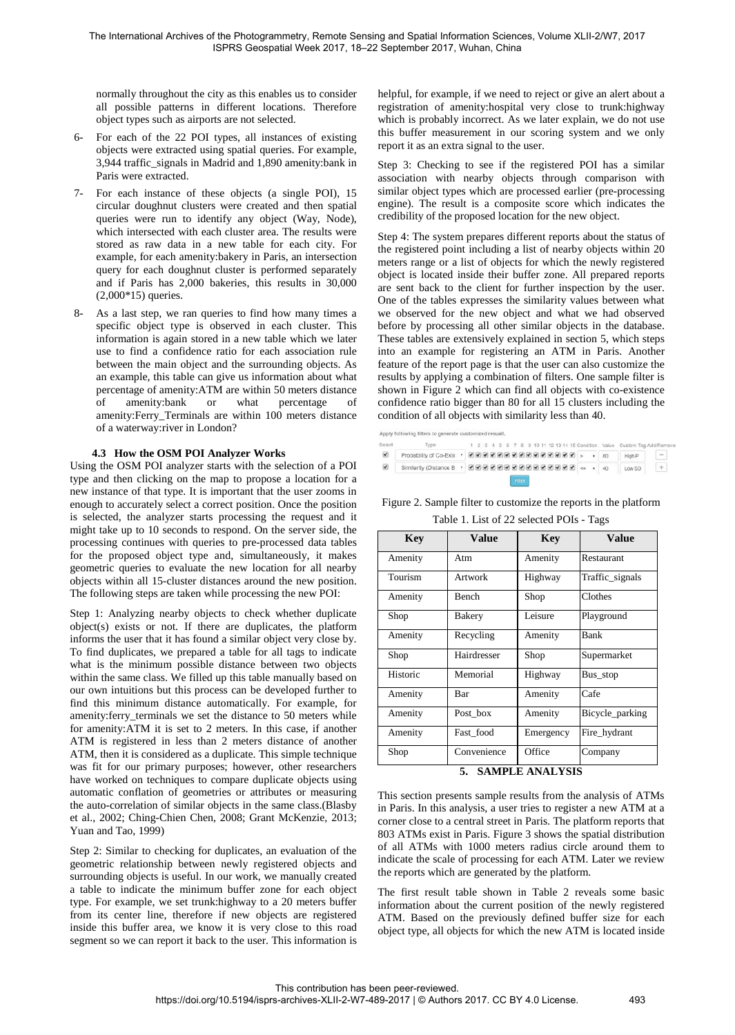normally throughout the city as this enables us to consider all possible patterns in different locations. Therefore object types such as airports are not selected.

- 6- For each of the 22 POI types, all instances of existing objects were extracted using spatial queries. For example, 3,944 traffic\_signals in Madrid and 1,890 amenity:bank in Paris were extracted.
- 7- For each instance of these objects (a single POI), 15 circular doughnut clusters were created and then spatial queries were run to identify any object (Way, Node), which intersected with each cluster area. The results were stored as raw data in a new table for each city. For example, for each amenity:bakery in Paris, an intersection query for each doughnut cluster is performed separately and if Paris has 2,000 bakeries, this results in 30,000 (2,000\*15) queries.
- 8- As a last step, we ran queries to find how many times a specific object type is observed in each cluster. This information is again stored in a new table which we later use to find a confidence ratio for each association rule between the main object and the surrounding objects. As an example, this table can give us information about what percentage of amenity:ATM are within 50 meters distance of amenity:bank or what percentage of amenity:Ferry\_Terminals are within 100 meters distance of a waterway:river in London?

# **4.3 How the OSM POI Analyzer Works**

Using the OSM POI analyzer starts with the selection of a POI type and then clicking on the map to propose a location for a new instance of that type. It is important that the user zooms in enough to accurately select a correct position. Once the position is selected, the analyzer starts processing the request and it might take up to 10 seconds to respond. On the server side, the processing continues with queries to pre-processed data tables for the proposed object type and, simultaneously, it makes geometric queries to evaluate the new location for all nearby objects within all 15-cluster distances around the new position. The following steps are taken while processing the new POI:

Step 1: Analyzing nearby objects to check whether duplicate object(s) exists or not. If there are duplicates, the platform informs the user that it has found a similar object very close by. To find duplicates, we prepared a table for all tags to indicate what is the minimum possible distance between two objects within the same class. We filled up this table manually based on our own intuitions but this process can be developed further to find this minimum distance automatically. For example, for amenity:ferry\_terminals we set the distance to 50 meters while for amenity:ATM it is set to 2 meters. In this case, if another ATM is registered in less than 2 meters distance of another ATM, then it is considered as a duplicate. This simple technique was fit for our primary purposes; however, other researchers have worked on techniques to compare duplicate objects using automatic conflation of geometries or attributes or measuring the auto-correlation of similar objects in the same class.(Blasby et al., 2002; Ching-Chien Chen, 2008; Grant McKenzie, 2013; Yuan and Tao, 1999)

Step 2: Similar to checking for duplicates, an evaluation of the geometric relationship between newly registered objects and surrounding objects is useful. In our work, we manually created a table to indicate the minimum buffer zone for each object type. For example, we set trunk:highway to a 20 meters buffer from its center line, therefore if new objects are registered inside this buffer area, we know it is very close to this road segment so we can report it back to the user. This information is

helpful, for example, if we need to reject or give an alert about a registration of amenity:hospital very close to trunk:highway which is probably incorrect. As we later explain, we do not use this buffer measurement in our scoring system and we only report it as an extra signal to the user.

Step 3: Checking to see if the registered POI has a similar association with nearby objects through comparison with similar object types which are processed earlier (pre-processing engine). The result is a composite score which indicates the credibility of the proposed location for the new object.

Step 4: The system prepares different reports about the status of the registered point including a list of nearby objects within 20 meters range or a list of objects for which the newly registered object is located inside their buffer zone. All prepared reports are sent back to the client for further inspection by the user. One of the tables expresses the similarity values between what we observed for the new object and what we had observed before by processing all other similar objects in the database. These tables are extensively explained in section 5, which steps into an example for registering an ATM in Paris. Another feature of the report page is that the user can also customize the results by applying a combination of filters. One sample filter is shown in [Figure 2](#page-4-1) which can find all objects with co-existence confidence ratio bigger than 80 for all 15 clusters including the condition of all objects with similarity less than 40.

Anniv following

- 1 2 3 4 5 6 7 8 9 10 11 12 13 14 15 Condition Valu Type  $\blacksquare$ 信
- High P 8 Similarity (Distance B · 2009 2009 2009 2009 2009 2009 4000 Low SD  $+$ 
	-

<span id="page-4-1"></span><span id="page-4-0"></span>

| Kev                                                              | <b>Value</b> | Kev | Value |  |  |  |
|------------------------------------------------------------------|--------------|-----|-------|--|--|--|
| Table 1. List of 22 selected POIs - Tags                         |              |     |       |  |  |  |
| Figure 2. Sample filter to customize the reports in the platform |              |     |       |  |  |  |

| Key                       | Value         | Key       | Value           |  |  |  |
|---------------------------|---------------|-----------|-----------------|--|--|--|
| Amenity                   | Atm           | Amenity   | Restaurant      |  |  |  |
| Tourism                   | Artwork       | Highway   | Traffic_signals |  |  |  |
| Amenity                   | Bench         | Shop      | Clothes         |  |  |  |
| Shop                      | <b>Bakery</b> | Leisure   | Playground      |  |  |  |
| Amenity                   | Recycling     | Amenity   | Bank            |  |  |  |
| Shop                      | Hairdresser   | Shop      | Supermarket     |  |  |  |
| Historic                  | Memorial      | Highway   | Bus stop        |  |  |  |
| Amenity                   | Bar           | Amenity   | Cafe            |  |  |  |
| Amenity                   | Post box      | Amenity   | Bicycle_parking |  |  |  |
| Amenity                   | Fast food     | Emergency | Fire_hydrant    |  |  |  |
| Shop                      | Convenience   | Office    | Company         |  |  |  |
| <b>5. SAMPLE ANALYSIS</b> |               |           |                 |  |  |  |

This section presents sample results from the analysis of ATMs in Paris. In this analysis, a user tries to register a new ATM at a corner close to a central street in Paris. The platform reports that 803 ATMs exist in Paris. [Figure 3](#page-5-0) shows the spatial distribution of all ATMs with 1000 meters radius circle around them to indicate the scale of processing for each ATM. Later we review the reports which are generated by the platform.

The first result table shown in [Table 2](#page-5-1) reveals some basic information about the current position of the newly registered ATM. Based on the previously defined buffer size for each object type, all objects for which the new ATM is located inside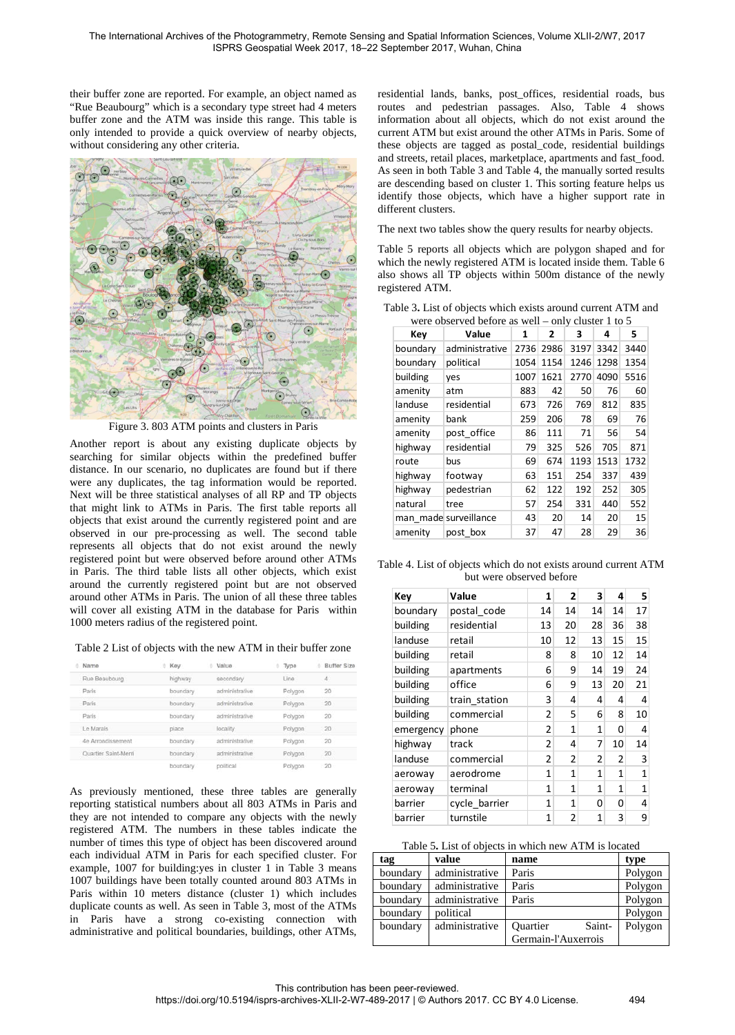their buffer zone are reported. For example, an object named as "Rue Beaubourg" which is a secondary type street had 4 meters buffer zone and the ATM was inside this range. This table is only intended to provide a quick overview of nearby objects, without considering any other criteria.



Figure 3. 803 ATM points and clusters in Paris

<span id="page-5-0"></span>Another report is about any existing duplicate objects by searching for similar objects within the predefined buffer distance. In our scenario, no duplicates are found but if there were any duplicates, the tag information would be reported. Next will be three statistical analyses of all RP and TP objects that might link to ATMs in Paris. The first table reports all objects that exist around the currently registered point and are observed in our pre-processing as well. The second table represents all objects that do not exist around the newly registered point but were observed before around other ATMs in Paris. The third table lists all other objects, which exist around the currently registered point but are not observed around other ATMs in Paris. The union of all these three tables will cover all existing ATM in the database for Paris within 1000 meters radius of the registered point.

<span id="page-5-1"></span>

| Name                 | Key      | Value          | Type    | ۵ | Buffer Size     |
|----------------------|----------|----------------|---------|---|-----------------|
| Rue Beaubourg        | highway  | secondary      | Line    |   | $\mathcal{A}_t$ |
| Paris                | boundary | administrative | Polygon |   | 20              |
| Paris                | boundary | administrative | Polygon |   | 20              |
| Paris                | boundary | administrative | Polygon |   | 20              |
| Le Marais            | place    | locality       | Polygon |   | 20              |
| 4e Arrondissement    | boundary | administrative | Polygon |   | 20              |
| Quartier Saint-Merri | boundary | administrative | Polygon |   | 20              |
|                      | boundary | political      | Polygon |   | -20             |

As previously mentioned, these three tables are generally reporting statistical numbers about all 803 ATMs in Paris and they are not intended to compare any objects with the newly registered ATM. The numbers in these tables indicate the number of times this type of object has been discovered around each individual ATM in Paris for each specified cluster. For example, 1007 for building:yes in cluster 1 in [Table 3](#page-5-2) means 1007 buildings have been totally counted around 803 ATMs in Paris within 10 meters distance (cluster 1) which includes duplicate counts as well. As seen in [Table 3,](#page-5-2) most of the ATMs in Paris have a strong co-existing connection with administrative and political boundaries, buildings, other ATMs,

residential lands, banks, post\_offices, residential roads, bus routes and pedestrian passages. Also, [Table 4](#page-5-3) shows information about all objects, which do not exist around the current ATM but exist around the other ATMs in Paris. Some of these objects are tagged as postal\_code, residential buildings and streets, retail places, marketplace, apartments and fast\_food. As seen in both [Table 3](#page-5-2) and [Table 4,](#page-5-3) the manually sorted results are descending based on cluster 1. This sorting feature helps us identify those objects, which have a higher support rate in different clusters.

The next two tables show the query results for nearby objects[.](#page-5-4) 

[Table 5](#page-5-4) reports all objects which are polygon shaped and for which the newly registered ATM is located inside them[. Table 6](#page-6-0) also shows all TP objects within 500m distance of the newly registered ATM.

| were observed before as well – only cluster 1 to 5 |                       |      |              |      |      |      |  |  |
|----------------------------------------------------|-----------------------|------|--------------|------|------|------|--|--|
| Key                                                | Value                 | 1    | $\mathbf{z}$ | 3    | 4    | 5    |  |  |
| boundary                                           | administrative        | 2736 | 2986         | 3197 | 3342 | 3440 |  |  |
| boundary                                           | political             | 1054 | 1154         | 1246 | 1298 | 1354 |  |  |
| building                                           | ves                   | 1007 | 1621         | 2770 | 4090 | 5516 |  |  |
| amenity                                            | atm                   | 883  | 42           | 50   | 76   | 60   |  |  |
| landuse                                            | residential           | 673  | 726          | 769  | 812  | 835  |  |  |
| amenity                                            | bank                  | 259  | 206          | 78   | 69   | 76   |  |  |
| amenity                                            | post_office           | 86   | 111          | 71   | 56   | 54   |  |  |
| highway                                            | residential           | 79   | 325          | 526  | 705  | 871  |  |  |
| route                                              | bus                   | 69   | 674          | 1193 | 1513 | 1732 |  |  |
| highway                                            | footway               | 63   | 151          | 254  | 337  | 439  |  |  |
| highway                                            | pedestrian            | 62   | 122          | 192  | 252  | 305  |  |  |
| natural                                            | tree                  | 57   | 254          | 331  | 440  | 552  |  |  |
|                                                    | man made surveillance | 43   | 20           | 14   | 20   | 15   |  |  |
| amenity                                            | post box              | 37   | 47           | 28   | 29   | 36   |  |  |

<span id="page-5-2"></span>Table 3**.** List of objects which exists around current ATM and

<span id="page-5-3"></span>Table 4. List of objects which do not exists around current ATM but were observed before

| Key       | Value         | 1  | $\overline{2}$ | 3               | 4  | 5  |
|-----------|---------------|----|----------------|-----------------|----|----|
| boundary  | postal code   | 14 | 14             | 14              | 14 | 17 |
| building  | residential   | 13 | 20             | 28              | 36 | 38 |
| landuse   | retail        | 10 | 12             | 13              | 15 | 15 |
| building  | retail        | 8  | 8              | 10 <sup>1</sup> | 12 | 14 |
| building  | apartments    | 6  | 9              | 14              | 19 | 24 |
| building  | office        | 6  | 9              | 13              | 20 | 21 |
| building  | train station | 3  | 4              | 4               | 4  | 4  |
| building  | commercial    | 2  | 5              | 6               | 8  | 10 |
| emergency | phone         | 2  | 1              | 1               | 0  | 4  |
| highway   | track         | 2  | 4              | 7               | 10 | 14 |
| landuse   | commercial    | 2  | 2              | 2               | 2  | 3  |
| aeroway   | aerodrome     | 1  | 1              | 1               | 1  | 1  |
| aeroway   | terminal      | 1  | 1              | 1               | 1  | 1  |
| barrier   | cycle barrier | 1  | 1              | 0               | 0  | 4  |
| barrier   | turnstile     | 1  | 2              | 1               | 3  | 9  |

#### <span id="page-5-4"></span>Table 5**.** List of objects in which new ATM is located

| tag      | value          | name                |        | type    |
|----------|----------------|---------------------|--------|---------|
| boundary | administrative | Paris               |        | Polygon |
| boundary | administrative | Paris               |        | Polygon |
| boundary | administrative | Paris               |        | Polygon |
| boundary | political      |                     |        | Polygon |
| boundary | administrative | <b>Ouartier</b>     | Saint- | Polygon |
|          |                | Germain-l'Auxerrois |        |         |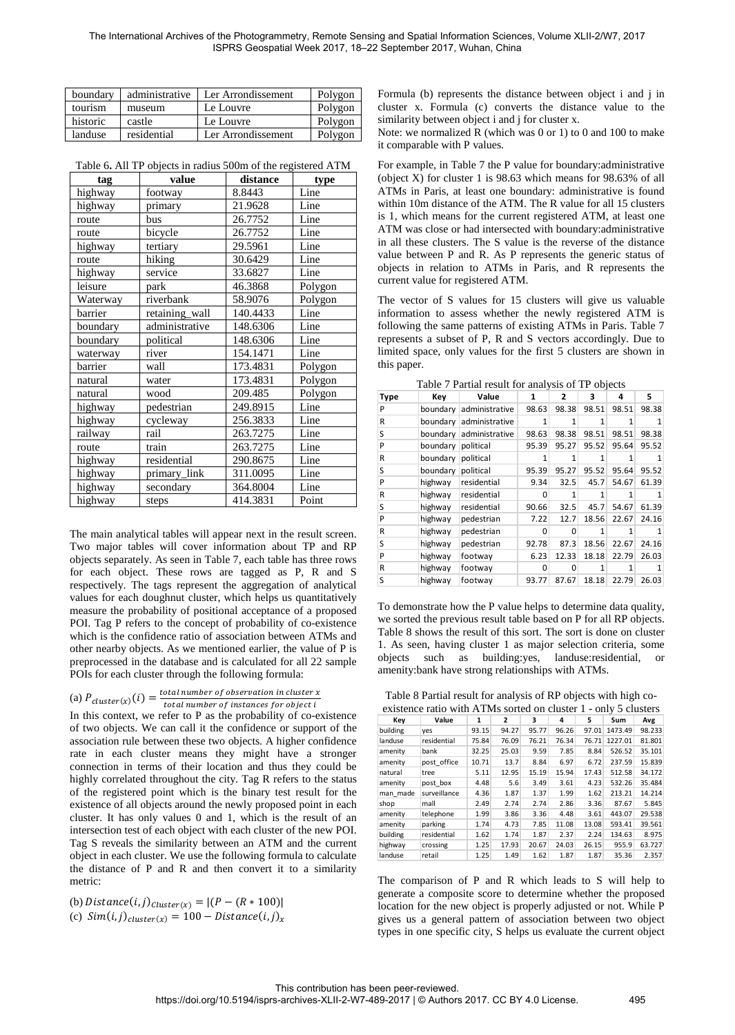| boundary | administrative | Ler Arrondissement | Polygon |
|----------|----------------|--------------------|---------|
| tourism  | museum         | Le Louvre          | Polygon |
| historic | castle         | Le Louvre          | Polygon |
| landuse  | residential    | Ler Arrondissement | Polygon |

<span id="page-6-0"></span>

| Table 6. All TP objects in radius 500m of the registered ATM |  |
|--------------------------------------------------------------|--|
|                                                              |  |

| tag      | value          | distance | type    |
|----------|----------------|----------|---------|
| highway  | footway        | 8.8443   | Line    |
| highway  | primary        | 21.9628  | Line    |
| route    | bus            | 26.7752  | Line    |
| route    | bicycle        | 26.7752  | Line    |
| highway  | tertiary       | 29.5961  | Line    |
| route    | hiking         | 30.6429  | Line    |
| highway  | service        | 33.6827  | Line    |
| leisure  | park           | 46.3868  | Polygon |
| Waterway | riverbank      | 58.9076  | Polygon |
| barrier  | retaining_wall | 140.4433 | Line    |
| boundary | administrative | 148.6306 | Line    |
| boundary | political      | 148.6306 | Line    |
| waterway | river          | 154.1471 | Line    |
| barrier  | wall           | 173.4831 | Polygon |
| natural  | water          | 173.4831 | Polygon |
| natural  | wood           | 209.485  | Polygon |
| highway  | pedestrian     | 249.8915 | Line    |
| highway  | cycleway       | 256.3833 | Line    |
| railway  | rail           | 263.7275 | Line    |
| route    | train          | 263.7275 | Line    |
| highway  | residential    | 290.8675 | Line    |
| highway  | primary_link   | 311.0095 | Line    |
| highway  | secondary      | 364.8004 | Line    |
| highway  | steps          | 414.3831 | Point   |

The main analytical tables will appear next in the result screen. Two major tables will cover information about TP and RP objects separately. As seen in [Table 7,](#page-6-1) each table has three rows for each object. These rows are tagged as P, R and S respectively. The tags represent the aggregation of analytical values for each doughnut cluster, which helps us quantitatively measure the probability of positional acceptance of a proposed POI. Tag P refers to the concept of probability of co-existence which is the confidence ratio of association between ATMs and other nearby objects. As we mentioned earlier, the value of P is preprocessed in the database and is calculated for all 22 sample POIs for each cluster through the following formula:

# (a)  $P_{cluster(x)}(i) = \frac{total\ number\ of\ observation\ in\ cluster\ x}{total\ number\ of\ instances\ for\ object\ i}$

In this context, we refer to P as the probability of co-existence of two objects. We can call it the confidence or support of the association rule between these two objects. A higher confidence rate in each cluster means they might have a stronger connection in terms of their location and thus they could be highly correlated throughout the city. Tag R refers to the status of the registered point which is the binary test result for the existence of all objects around the newly proposed point in each cluster. It has only values 0 and 1, which is the result of an intersection test of each object with each cluster of the new POI. Tag S reveals the similarity between an ATM and the current object in each cluster. We use the following formula to calculate the distance of P and R and then convert it to a similarity metric:

(b)  $Distance(i, j)_{Cluster(x)} = |(P - (R * 100))|$ (c)  $Sim(i,j)_{cluster(x)} = 100 - Distance(i,j)_x$  Formula (b) represents the distance between object i and j in cluster x. Formula (c) converts the distance value to the similarity between object i and j for cluster x.

Note: we normalized R (which was 0 or 1) to 0 and 100 to make it comparable with P values.

For example, in [Table 7](#page-6-1) the P value for boundary:administrative (object X) for cluster 1 is 98.63 which means for 98.63% of all ATMs in Paris, at least one boundary: administrative is found within 10m distance of the ATM. The R value for all 15 clusters is 1, which means for the current registered ATM, at least one ATM was close or had intersected with boundary:administrative in all these clusters. The S value is the reverse of the distance value between P and R. As P represents the generic status of objects in relation to ATMs in Paris, and R represents the current value for registered ATM.

The vector of S values for 15 clusters will give us valuable information to assess whether the newly registered ATM is following the same patterns of existing ATMs in Paris. [Table 7](#page-6-1) represents a subset of P, R and S vectors accordingly. Due to limited space, only values for the first 5 clusters are shown in this paper.

|  | Table 7 Partial result for analysis of TP objects |  |  |
|--|---------------------------------------------------|--|--|
|  |                                                   |  |  |

<span id="page-6-1"></span>

| <b>Type</b> | Key                | Value                   | 1     | 2     | 3     | 4     | 5     |
|-------------|--------------------|-------------------------|-------|-------|-------|-------|-------|
| P           |                    | boundary administrative | 98.63 | 98.38 | 98.51 | 98.51 | 98.38 |
| R           |                    | boundary administrative | 1     |       | 1     |       |       |
| S           |                    | boundary administrative | 98.63 | 98.38 | 98.51 | 98.51 | 98.38 |
| P           | boundary political |                         | 95.39 | 95.27 | 95.52 | 95.64 | 95.52 |
| R           | boundary political |                         |       |       |       |       |       |
| S           | boundary           | political               | 95.39 | 95.27 | 95.52 | 95.64 | 95.52 |
| P           | highway            | residential             | 9.34  | 32.5  | 45.7  | 54.67 | 61.39 |
| R           | highway            | residential             | O     |       |       |       |       |
| S           | highway            | residential             | 90.66 | 32.5  | 45.7  | 54.67 | 61.39 |
| P           | highway            | pedestrian              | 7.22  | 12.7  | 18.56 | 22.67 | 24.16 |
| R           | highway            | pedestrian              | 0     | 0     | 1     |       |       |
| S           | highway            | pedestrian              | 92.78 | 87.3  | 18.56 | 22.67 | 24.16 |
| P           | highway            | footway                 | 6.23  | 12.33 | 18.18 | 22.79 | 26.03 |
| R           | highway            | footway                 | O     | o     |       |       |       |
| S           | highway            | footway                 | 93.77 | 87.67 | 18.18 | 22.79 | 26.03 |

To demonstrate how the P value helps to determine data quality, we sorted the previous result table based on P for all RP objects. [Table 8](#page-6-2) shows the result of this sort. The sort is done on cluster 1. As seen, having cluster 1 as major selection criteria, some objects such as building:yes, landuse:residential, amenity:bank have strong relationships with ATMs.

<span id="page-6-2"></span>Table 8 Partial result for analysis of RP objects with high co-

| existence ratio with ATMs sorted on cluster 1 - only 5 clusters |              |       |       |       |       |       |         |        |
|-----------------------------------------------------------------|--------------|-------|-------|-------|-------|-------|---------|--------|
| Key                                                             | Value        | 1     | 2     | 3     | 4     | 5     | Sum     | Avg    |
| building                                                        | yes          | 93.15 | 94.27 | 95.77 | 96.26 | 97.01 | 1473.49 | 98.233 |
| landuse                                                         | residential  | 75.84 | 76.09 | 76.21 | 76.34 | 76.71 | 1227.01 | 81.801 |
| amenity                                                         | bank         | 32.25 | 25.03 | 9.59  | 7.85  | 8.84  | 526.52  | 35.101 |
| amenity                                                         | post office  | 10.71 | 13.7  | 8.84  | 6.97  | 6.72  | 237.59  | 15.839 |
| natural                                                         | tree         | 5.11  | 12.95 | 15.19 | 15.94 | 17.43 | 512.58  | 34.172 |
| amenity                                                         | post box     | 4.48  | 5.6   | 3.49  | 3.61  | 4.23  | 532.26  | 35.484 |
| man made                                                        | surveillance | 4.36  | 1.87  | 1.37  | 1.99  | 1.62  | 213.21  | 14.214 |
| shop                                                            | mall         | 2.49  | 2.74  | 2.74  | 2.86  | 3.36  | 87.67   | 5.845  |
| amenity                                                         | telephone    | 1.99  | 3.86  | 3.36  | 4.48  | 3.61  | 443.07  | 29.538 |
| amenity                                                         | parking      | 1.74  | 4.73  | 7.85  | 11.08 | 13.08 | 593.41  | 39.561 |
| building                                                        | residential  | 1.62  | 1.74  | 1.87  | 2.37  | 2.24  | 134.63  | 8.975  |
| highway                                                         | crossing     | 1.25  | 17.93 | 20.67 | 24.03 | 26.15 | 955.9   | 63.727 |
| landuse                                                         | retail       | 1.25  | 1.49  | 1.62  | 1.87  | 1.87  | 35.36   | 2.357  |

The comparison of P and R which leads to S will help to generate a composite score to determine whether the proposed location for the new object is properly adjusted or not. While P gives us a general pattern of association between two object types in one specific city, S helps us evaluate the current object